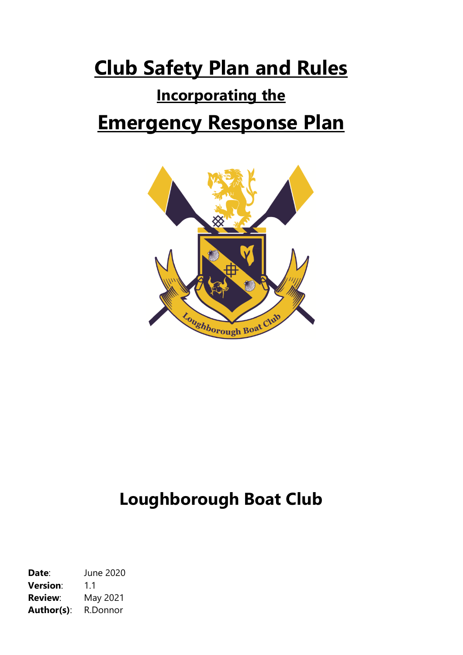# **Club Safety Plan and Rules**

## **Incorporating the**

# **Emergency Response Plan**



# **Loughborough Boat Club**

**Date**: June 2020 **Version**: 1.1 **Review**: May 2021 **Author(s)**: R.Donnor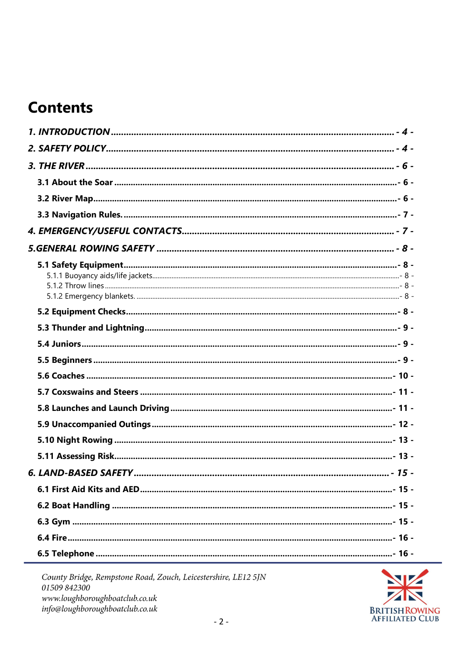## **Contents**

|  |  | $-15-$ |  |  |
|--|--|--------|--|--|
|  |  |        |  |  |
|  |  |        |  |  |
|  |  |        |  |  |
|  |  |        |  |  |
|  |  |        |  |  |

County Bridge, Rempstone Road, Zouch, Leicestershire, LE12 5JN 01509 842300 www.loughboroughboatclub.co.uk info@loughboroughboatclub.co.uk

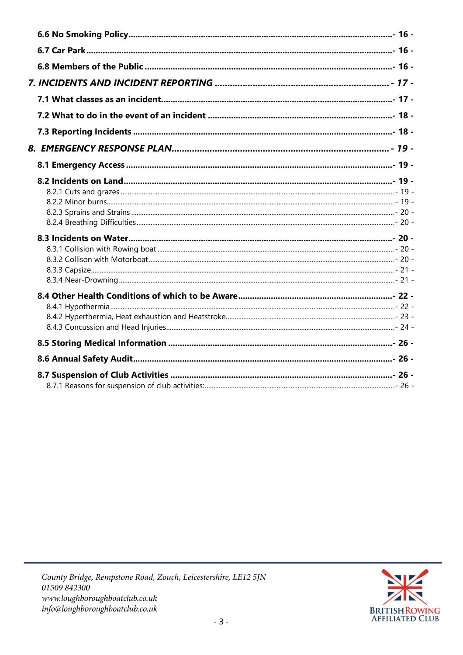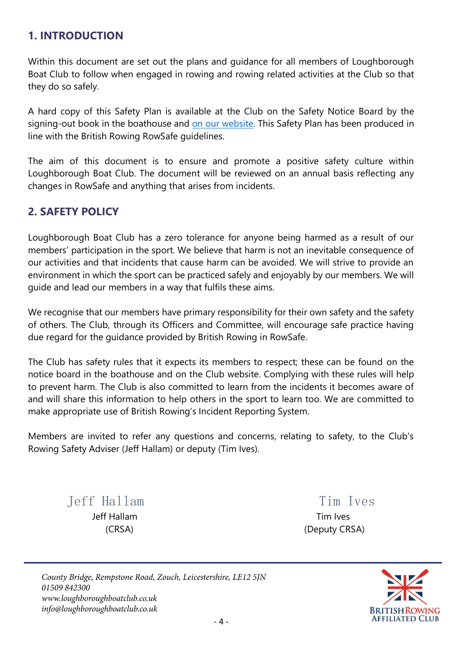### <span id="page-3-0"></span>**1. INTRODUCTION**

Within this document are set out the plans and guidance for all members of Loughborough Boat Club to follow when engaged in rowing and rowing related activities at the Club so that they do so safely.

A hard copy of this Safety Plan is available at the Club on the Safety Notice Board by the signing-out book in the boathouse and [on our website.](https://loughboroughboatclub.co.uk/documents/) This Safety Plan has been produced in line with the British Rowing RowSafe guidelines.

The aim of this document is to ensure and promote a positive safety culture within Loughborough Boat Club. The document will be reviewed on an annual basis reflecting any changes in RowSafe and anything that arises from incidents.

## <span id="page-3-1"></span>**2. SAFETY POLICY**

Loughborough Boat Club has a zero tolerance for anyone being harmed as a result of our members' participation in the sport. We believe that harm is not an inevitable consequence of our activities and that incidents that cause harm can be avoided. We will strive to provide an environment in which the sport can be practiced safely and enjoyably by our members. We will guide and lead our members in a way that fulfils these aims.

We recognise that our members have primary responsibility for their own safety and the safety of others. The Club, through its Officers and Committee, will encourage safe practice having due regard for the guidance provided by British Rowing in RowSafe.

The Club has safety rules that it expects its members to respect; these can be found on the notice board in the boathouse and on the Club website. Complying with these rules will help to prevent harm. The Club is also committed to learn from the incidents it becomes aware of and will share this information to help others in the sport to learn too. We are committed to make appropriate use of British Rowing's Incident Reporting System.

Members are invited to refer any questions and concerns, relating to safety, to the Club's Rowing Safety Adviser (Jeff Hallam) or deputy (Tim Ives).

Jeff Hallam Tim Ives Jeff Hallam Tim Ives

(CRSA) (Deputy CRSA)

County Bridge, Rempstone Road, Zouch, Leicestershire, LE12 5JN 01509842300 www.loughboroughboatclub.co.uk info@loughboroughboatclub.co.uk

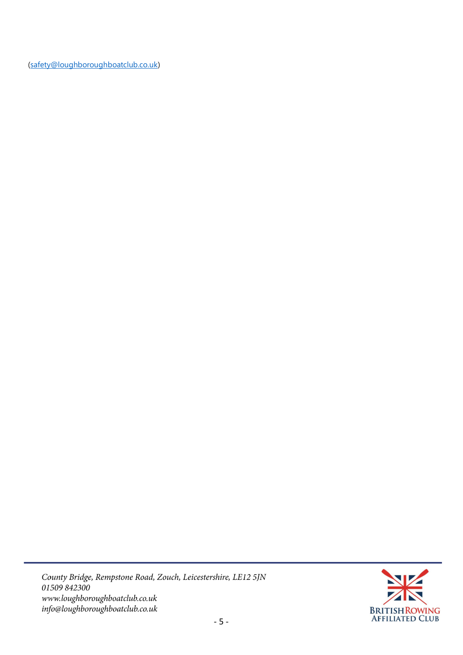[\(safety@loughboroughboatclub.co.uk\)](mailto:safety@loughboroughboatclub.co.uk)

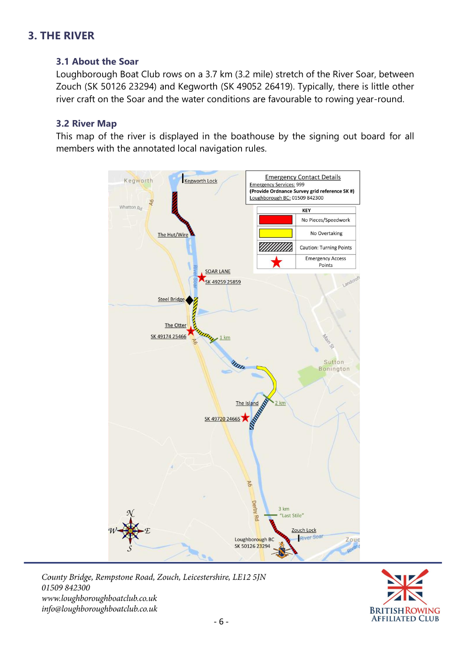## <span id="page-5-1"></span><span id="page-5-0"></span>**3. THE RIVER**

#### **3.1 About the Soar**

Loughborough Boat Club rows on a 3.7 km (3.2 mile) stretch of the River Soar, between Zouch (SK 50126 23294) and Kegworth (SK 49052 26419). Typically, there is little other river craft on the Soar and the water conditions are favourable to rowing year-round.

#### <span id="page-5-2"></span>**3.2 River Map**

This map of the river is displayed in the boathouse by the signing out board for all members with the annotated local navigation rules.



County Bridge, Rempstone Road, Zouch, Leicestershire, LE12 5JN 01509842300 www.loughboroughboatclub.co.uk info@loughboroughboatclub.co.uk

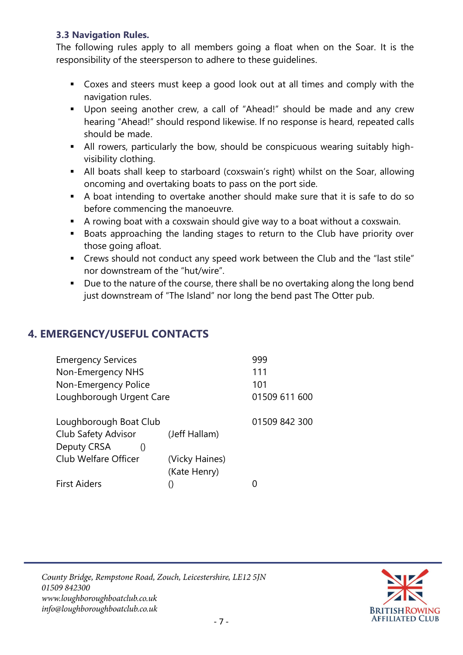#### <span id="page-6-0"></span>**3.3 Navigation Rules.**

The following rules apply to all members going a float when on the Soar. It is the responsibility of the steersperson to adhere to these guidelines.

- Coxes and steers must keep a good look out at all times and comply with the navigation rules.
- Upon seeing another crew, a call of "Ahead!" should be made and any crew hearing "Ahead!" should respond likewise. If no response is heard, repeated calls should be made.
- All rowers, particularly the bow, should be conspicuous wearing suitably highvisibility clothing.
- **E** All boats shall keep to starboard (coxswain's right) whilst on the Soar, allowing oncoming and overtaking boats to pass on the port side.
- A boat intending to overtake another should make sure that it is safe to do so before commencing the manoeuvre.
- A rowing boat with a coxswain should give way to a boat without a coxswain.
- Boats approaching the landing stages to return to the Club have priority over those going afloat.
- Crews should not conduct any speed work between the Club and the "last stile" nor downstream of the "hut/wire".
- Due to the nature of the course, there shall be no overtaking along the long bend just downstream of "The Island" nor long the bend past The Otter pub.

## <span id="page-6-1"></span>**4. EMERGENCY/USEFUL CONTACTS**

| <b>Emergency Services</b><br>Non-Emergency NHS |                | 999<br>111<br>101 |
|------------------------------------------------|----------------|-------------------|
| Non-Emergency Police                           |                |                   |
| Loughborough Urgent Care                       | 01509 611 600  |                   |
| Loughborough Boat Club                         |                | 01509 842 300     |
| <b>Club Safety Advisor</b>                     | (Jeff Hallam)  |                   |
| Deputy CRSA                                    |                |                   |
| Club Welfare Officer                           | (Vicky Haines) |                   |
|                                                | (Kate Henry)   |                   |
| <b>First Aiders</b>                            |                |                   |

County Bridge, Rempstone Road, Zouch, Leicestershire, LE12 5JN 01509842300 www.loughboroughboatclub.co.uk info@loughboroughboatclub.co.uk

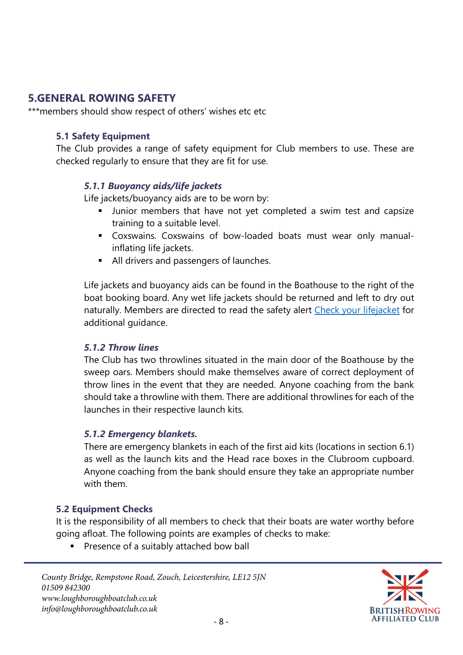## <span id="page-7-0"></span>**5.GENERAL ROWING SAFETY**

<span id="page-7-1"></span>\*\*\*members should show respect of others' wishes etc etc

#### **5.1 Safety Equipment**

<span id="page-7-2"></span>The Club provides a range of safety equipment for Club members to use. These are checked regularly to ensure that they are fit for use.

#### *5.1.1 Buoyancy aids/life jackets*

Life jackets/buoyancy aids are to be worn by:

- **■** Junior members that have not yet completed a swim test and capsize training to a suitable level.
- Coxswains. Coxswains of bow-loaded boats must wear only manualinflating life jackets.
- All drivers and passengers of launches.

Life jackets and buoyancy aids can be found in the Boathouse to the right of the boat booking board. Any wet life jackets should be returned and left to dry out naturally. Members are directed to read the safety alert [Check your](https://www.britishrowing.org/wp-content/uploads/2015/09/Safety-Alert-check-your-lifejacket.pdf) lifejacket for additional guidance.

#### <span id="page-7-3"></span>*5.1.2 Throw lines*

The Club has two throwlines situated in the main door of the Boathouse by the sweep oars. Members should make themselves aware of correct deployment of throw lines in the event that they are needed. Anyone coaching from the bank should take a throwline with them. There are additional throwlines for each of the launches in their respective launch kits.

#### <span id="page-7-4"></span>*5.1.2 Emergency blankets.*

There are emergency blankets in each of the first aid kits (locations in section 6.1) as well as the launch kits and the Head race boxes in the Clubroom cupboard. Anyone coaching from the bank should ensure they take an appropriate number with them.

#### <span id="page-7-5"></span>**5.2 Equipment Checks**

It is the responsibility of all members to check that their boats are water worthy before going afloat. The following points are examples of checks to make:

■ Presence of a suitably attached bow ball

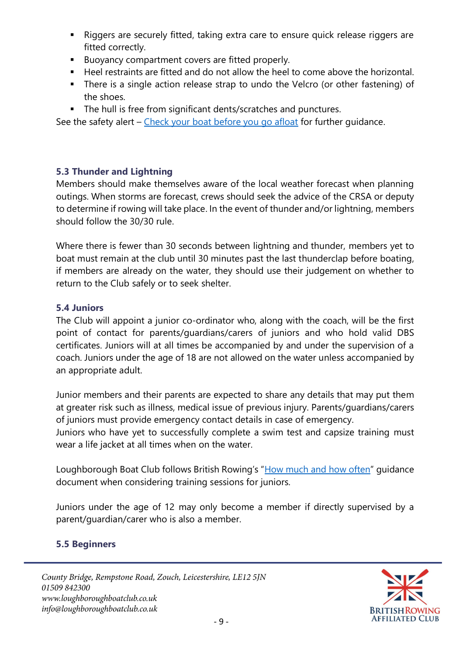- Riggers are securely fitted, taking extra care to ensure quick release riggers are fitted correctly.
- Buoyancy compartment covers are fitted properly.
- Heel restraints are fitted and do not allow the heel to come above the horizontal.
- There is a single action release strap to undo the Velcro (or other fastening) of the shoes.
- The hull is free from significant dents/scratches and punctures.

See the safety alert – [Check your boat before you go afloat](https://www.britishrowing.org/wp-content/uploads/2015/09/Safety-Alert-Check-Your-Boat-Before-You-Go-Afloat.pdf) for further quidance.

#### <span id="page-8-0"></span>**5.3 Thunder and Lightning**

Members should make themselves aware of the local weather forecast when planning outings. When storms are forecast, crews should seek the advice of the CRSA or deputy to determine if rowing will take place. In the event of thunder and/or lightning, members should follow the 30/30 rule.

Where there is fewer than 30 seconds between lightning and thunder, members yet to boat must remain at the club until 30 minutes past the last thunderclap before boating, if members are already on the water, they should use their judgement on whether to return to the Club safely or to seek shelter.

#### <span id="page-8-1"></span>**5.4 Juniors**

The Club will appoint a junior co-ordinator who, along with the coach, will be the first point of contact for parents/guardians/carers of juniors and who hold valid DBS certificates. Juniors will at all times be accompanied by and under the supervision of a coach. Juniors under the age of 18 are not allowed on the water unless accompanied by an appropriate adult.

Junior members and their parents are expected to share any details that may put them at greater risk such as illness, medical issue of previous injury. Parents/guardians/carers of juniors must provide emergency contact details in case of emergency.

Juniors who have yet to successfully complete a swim test and capsize training must wear a life jacket at all times when on the water.

Loughborough Boat Club follows British Rowing's "[How much and how often](https://www.britishrowing.org/wp-content/uploads/2019/03/How-Much-How-Often-210219.pdf)" guidance document when considering training sessions for juniors.

Juniors under the age of 12 may only become a member if directly supervised by a parent/guardian/carer who is also a member.

#### <span id="page-8-2"></span>**5.5 Beginners**

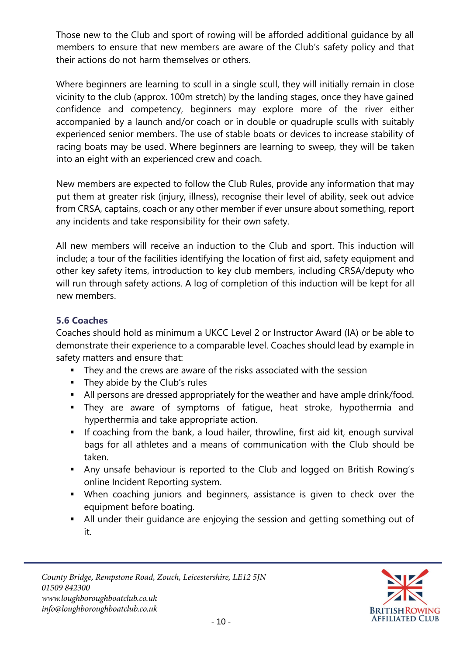Those new to the Club and sport of rowing will be afforded additional guidance by all members to ensure that new members are aware of the Club's safety policy and that their actions do not harm themselves or others.

Where beginners are learning to scull in a single scull, they will initially remain in close vicinity to the club (approx. 100m stretch) by the landing stages, once they have gained confidence and competency, beginners may explore more of the river either accompanied by a launch and/or coach or in double or quadruple sculls with suitably experienced senior members. The use of stable boats or devices to increase stability of racing boats may be used. Where beginners are learning to sweep, they will be taken into an eight with an experienced crew and coach.

New members are expected to follow the Club Rules, provide any information that may put them at greater risk (injury, illness), recognise their level of ability, seek out advice from CRSA, captains, coach or any other member if ever unsure about something, report any incidents and take responsibility for their own safety.

All new members will receive an induction to the Club and sport. This induction will include; a tour of the facilities identifying the location of first aid, safety equipment and other key safety items, introduction to key club members, including CRSA/deputy who will run through safety actions. A log of completion of this induction will be kept for all new members.

#### <span id="page-9-0"></span>**5.6 Coaches**

Coaches should hold as minimum a UKCC Level 2 or Instructor Award (IA) or be able to demonstrate their experience to a comparable level. Coaches should lead by example in safety matters and ensure that:

- They and the crews are aware of the risks associated with the session
- They abide by the Club's rules
- All persons are dressed appropriately for the weather and have ample drink/food.
- **EXT** They are aware of symptoms of fatigue, heat stroke, hypothermia and hyperthermia and take appropriate action.
- **E** If coaching from the bank, a loud hailer, throwline, first aid kit, enough survival bags for all athletes and a means of communication with the Club should be taken.
- Any unsafe behaviour is reported to the Club and logged on British Rowing's online Incident Reporting system.
- When coaching juniors and beginners, assistance is given to check over the equipment before boating.
- All under their guidance are enjoying the session and getting something out of it.

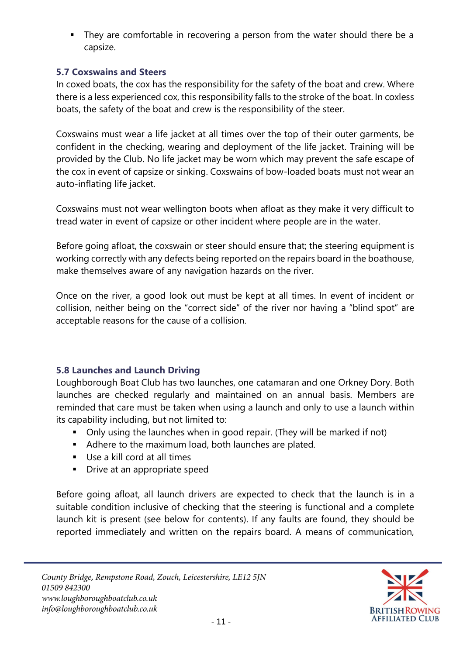■ They are comfortable in recovering a person from the water should there be a capsize.

#### <span id="page-10-0"></span>**5.7 Coxswains and Steers**

In coxed boats, the cox has the responsibility for the safety of the boat and crew. Where there is a less experienced cox, this responsibility falls to the stroke of the boat. In coxless boats, the safety of the boat and crew is the responsibility of the steer.

Coxswains must wear a life jacket at all times over the top of their outer garments, be confident in the checking, wearing and deployment of the life jacket. Training will be provided by the Club. No life jacket may be worn which may prevent the safe escape of the cox in event of capsize or sinking. Coxswains of bow-loaded boats must not wear an auto-inflating life jacket.

Coxswains must not wear wellington boots when afloat as they make it very difficult to tread water in event of capsize or other incident where people are in the water.

Before going afloat, the coxswain or steer should ensure that; the steering equipment is working correctly with any defects being reported on the repairs board in the boathouse, make themselves aware of any navigation hazards on the river.

Once on the river, a good look out must be kept at all times. In event of incident or collision, neither being on the "correct side" of the river nor having a "blind spot" are acceptable reasons for the cause of a collision.

#### <span id="page-10-1"></span>**5.8 Launches and Launch Driving**

Loughborough Boat Club has two launches, one catamaran and one Orkney Dory. Both launches are checked regularly and maintained on an annual basis. Members are reminded that care must be taken when using a launch and only to use a launch within its capability including, but not limited to:

- Only using the launches when in good repair. (They will be marked if not)
- Adhere to the maximum load, both launches are plated.
- Use a kill cord at all times
- **•** Drive at an appropriate speed

Before going afloat, all launch drivers are expected to check that the launch is in a suitable condition inclusive of checking that the steering is functional and a complete launch kit is present (see below for contents). If any faults are found, they should be reported immediately and written on the repairs board. A means of communication,

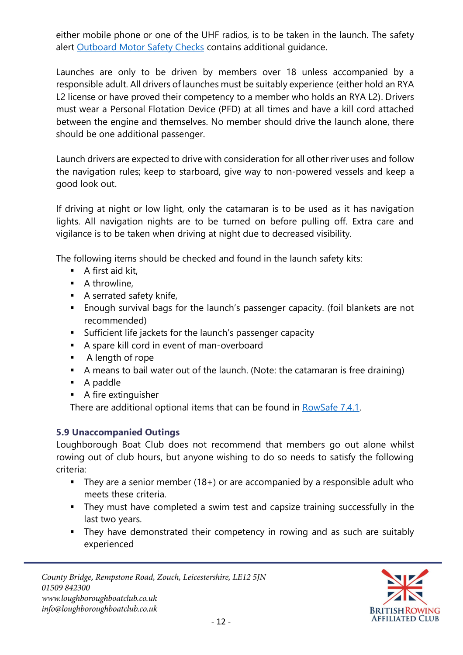either mobile phone or one of the UHF radios, is to be taken in the launch. The safety alert [Outboard Motor Safety Checks](https://www.britishrowing.org/wp-content/uploads/2015/09/Safety-Alert-Outboard-Motor-Safety-Checks.pdf) contains additional guidance.

Launches are only to be driven by members over 18 unless accompanied by a responsible adult. All drivers of launches must be suitably experience (either hold an RYA L2 license or have proved their competency to a member who holds an RYA L2). Drivers must wear a Personal Flotation Device (PFD) at all times and have a kill cord attached between the engine and themselves. No member should drive the launch alone, there should be one additional passenger.

Launch drivers are expected to drive with consideration for all other river uses and follow the navigation rules; keep to starboard, give way to non-powered vessels and keep a good look out.

If driving at night or low light, only the catamaran is to be used as it has navigation lights. All navigation nights are to be turned on before pulling off. Extra care and vigilance is to be taken when driving at night due to decreased visibility.

The following items should be checked and found in the launch safety kits:

- A first aid kit,
- A throwline,
- A serrated safety knife,
- Enough survival bags for the launch's passenger capacity. (foil blankets are not recommended)
- Sufficient life jackets for the launch's passenger capacity
- A spare kill cord in event of man-overboard
- A length of rope
- A means to bail water out of the launch. (Note: the catamaran is free draining)
- A paddle
- A fire extinguisher

There are additional optional items that can be found in [RowSafe 7.4.1.](https://www.britishrowing.org/wp-content/uploads/2019/04/Row-Safe-April-2019-Chp-7.pdf)

#### <span id="page-11-0"></span>**5.9 Unaccompanied Outings**

Loughborough Boat Club does not recommend that members go out alone whilst rowing out of club hours, but anyone wishing to do so needs to satisfy the following criteria:

- **E** They are a senior member (18+) or are accompanied by a responsible adult who meets these criteria.
- **EXT** They must have completed a swim test and capsize training successfully in the last two years.
- They have demonstrated their competency in rowing and as such are suitably experienced

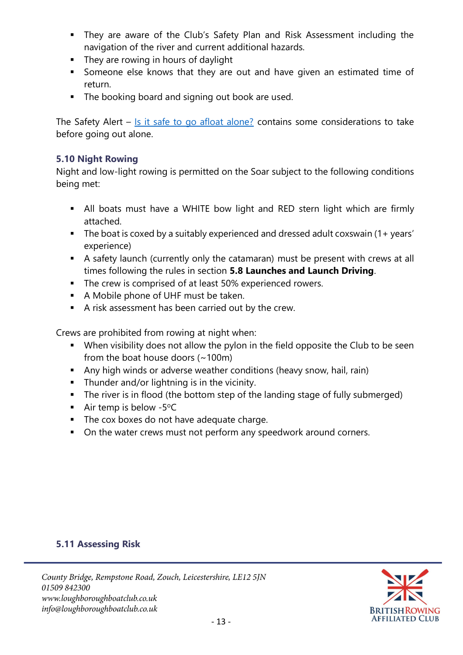- **EXT** They are aware of the Club's Safety Plan and Risk Assessment including the navigation of the river and current additional hazards.
- **E** They are rowing in hours of daylight
- Someone else knows that they are out and have given an estimated time of return.
- The booking board and signing out book are used.

The Safety Alert – [Is it safe to go afloat alone?](https://www.britishrowing.org/wp-content/uploads/2015/09/Safety-Alert-November-2015-Is-it-safe-to-go-afloat-alone.pdf) contains some considerations to take before going out alone.

#### <span id="page-12-0"></span>**5.10 Night Rowing**

Night and low-light rowing is permitted on the Soar subject to the following conditions being met:

- All boats must have a WHITE bow light and RED stern light which are firmly attached.
- The boat is coxed by a suitably experienced and dressed adult coxswain (1+ years' experience)
- A safety launch (currently only the catamaran) must be present with crews at all times following the rules in section **5.8 Launches and Launch Driving**.
- The crew is comprised of at least 50% experienced rowers.
- A Mobile phone of UHF must be taken.
- A risk assessment has been carried out by the crew.

Crews are prohibited from rowing at night when:

- When visibility does not allow the pylon in the field opposite the Club to be seen from the boat house doors  $(-100m)$
- **E** Any high winds or adverse weather conditions (heavy snow, hail, rain)
- Thunder and/or lightning is in the vicinity.
- The river is in flood (the bottom step of the landing stage of fully submerged)
- **E** Air temp is below -5 $^{\circ}$ C
- The cox boxes do not have adequate charge.
- On the water crews must not perform any speedwork around corners.

#### <span id="page-12-1"></span>**5.11 Assessing Risk**

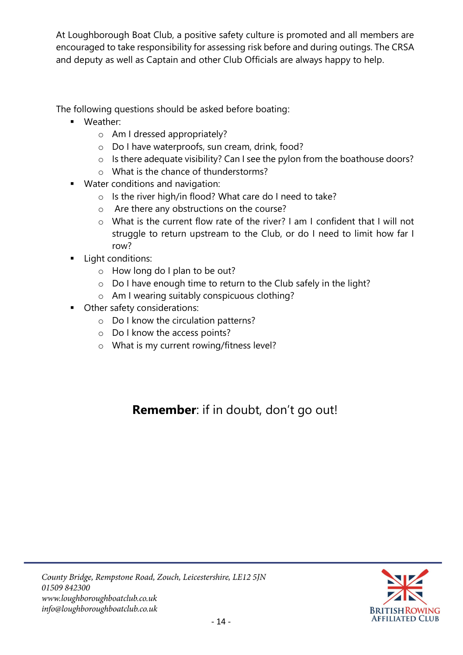At Loughborough Boat Club, a positive safety culture is promoted and all members are encouraged to take responsibility for assessing risk before and during outings. The CRSA and deputy as well as Captain and other Club Officials are always happy to help.

The following questions should be asked before boating:

- Weather:
	- o Am I dressed appropriately?
	- o Do I have waterproofs, sun cream, drink, food?
	- o Is there adequate visibility? Can I see the pylon from the boathouse doors?
	- o What is the chance of thunderstorms?
- Water conditions and navigation:
	- o Is the river high/in flood? What care do I need to take?
	- o Are there any obstructions on the course?
	- o What is the current flow rate of the river? I am I confident that I will not struggle to return upstream to the Club, or do I need to limit how far I row?
- **■** Light conditions:
	- o How long do I plan to be out?
	- o Do I have enough time to return to the Club safely in the light?
	- o Am I wearing suitably conspicuous clothing?
- Other safety considerations:
	- o Do I know the circulation patterns?
	- o Do I know the access points?
	- o What is my current rowing/fitness level?

## **Remember**: if in doubt, don't go out!

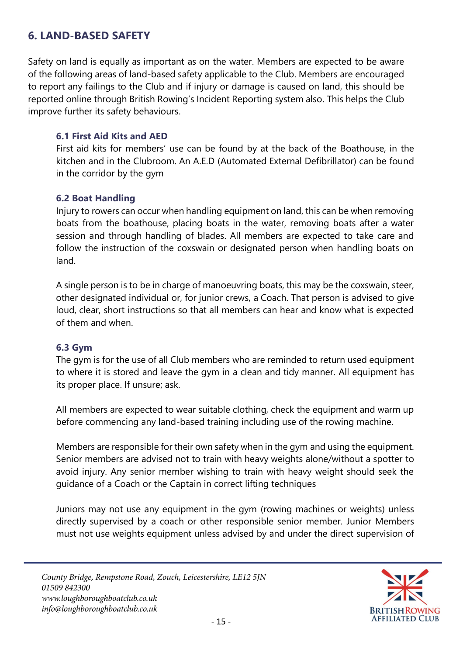### <span id="page-14-0"></span>**6. LAND-BASED SAFETY**

Safety on land is equally as important as on the water. Members are expected to be aware of the following areas of land-based safety applicable to the Club. Members are encouraged to report any failings to the Club and if injury or damage is caused on land, this should be reported online through British Rowing's Incident Reporting system also. This helps the Club improve further its safety behaviours.

#### <span id="page-14-1"></span>**6.1 First Aid Kits and AED**

First aid kits for members' use can be found by at the back of the Boathouse, in the kitchen and in the Clubroom. An A.E.D (Automated External Defibrillator) can be found in the corridor by the gym

#### <span id="page-14-2"></span>**6.2 Boat Handling**

Injury to rowers can occur when handling equipment on land, this can be when removing boats from the boathouse, placing boats in the water, removing boats after a water session and through handling of blades. All members are expected to take care and follow the instruction of the coxswain or designated person when handling boats on land.

A single person is to be in charge of manoeuvring boats, this may be the coxswain, steer, other designated individual or, for junior crews, a Coach. That person is advised to give loud, clear, short instructions so that all members can hear and know what is expected of them and when.

#### <span id="page-14-3"></span>**6.3 Gym**

The gym is for the use of all Club members who are reminded to return used equipment to where it is stored and leave the gym in a clean and tidy manner. All equipment has its proper place. If unsure; ask.

All members are expected to wear suitable clothing, check the equipment and warm up before commencing any land-based training including use of the rowing machine.

Members are responsible for their own safety when in the gym and using the equipment. Senior members are advised not to train with heavy weights alone/without a spotter to avoid injury. Any senior member wishing to train with heavy weight should seek the guidance of a Coach or the Captain in correct lifting techniques

Juniors may not use any equipment in the gym (rowing machines or weights) unless directly supervised by a coach or other responsible senior member. Junior Members must not use weights equipment unless advised by and under the direct supervision of

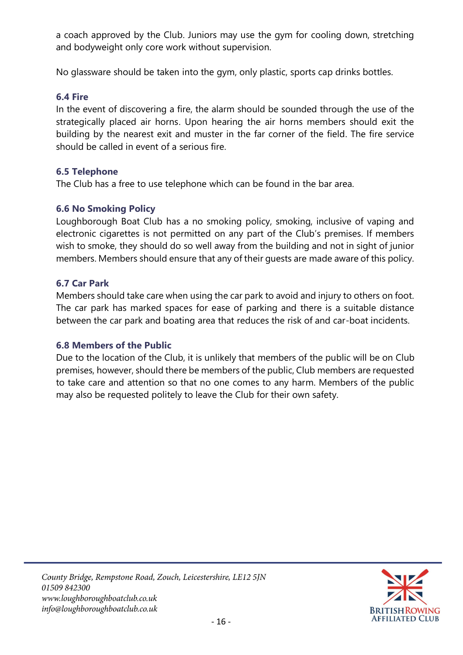a coach approved by the Club. Juniors may use the gym for cooling down, stretching and bodyweight only core work without supervision.

No glassware should be taken into the gym, only plastic, sports cap drinks bottles.

#### <span id="page-15-0"></span>**6.4 Fire**

In the event of discovering a fire, the alarm should be sounded through the use of the strategically placed air horns. Upon hearing the air horns members should exit the building by the nearest exit and muster in the far corner of the field. The fire service should be called in event of a serious fire.

#### <span id="page-15-1"></span>**6.5 Telephone**

The Club has a free to use telephone which can be found in the bar area.

#### <span id="page-15-2"></span>**6.6 No Smoking Policy**

Loughborough Boat Club has a no smoking policy, smoking, inclusive of vaping and electronic cigarettes is not permitted on any part of the Club's premises. If members wish to smoke, they should do so well away from the building and not in sight of junior members. Members should ensure that any of their guests are made aware of this policy.

#### <span id="page-15-3"></span>**6.7 Car Park**

Members should take care when using the car park to avoid and injury to others on foot. The car park has marked spaces for ease of parking and there is a suitable distance between the car park and boating area that reduces the risk of and car-boat incidents.

#### <span id="page-15-4"></span>**6.8 Members of the Public**

Due to the location of the Club, it is unlikely that members of the public will be on Club premises, however, should there be members of the public, Club members are requested to take care and attention so that no one comes to any harm. Members of the public may also be requested politely to leave the Club for their own safety.

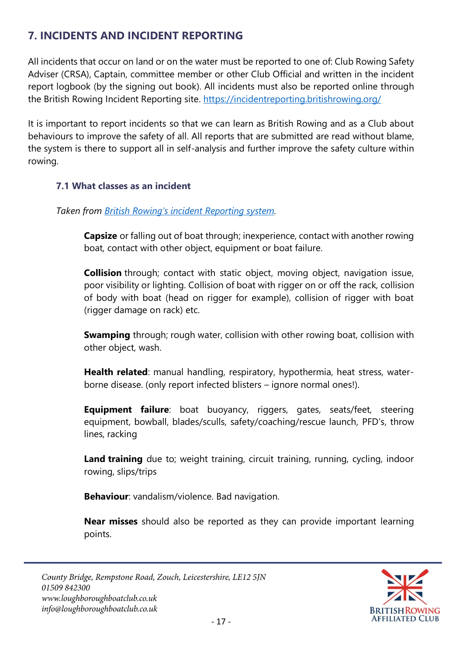## <span id="page-16-0"></span>**7. INCIDENTS AND INCIDENT REPORTING**

All incidents that occur on land or on the water must be reported to one of: Club Rowing Safety Adviser (CRSA), Captain, committee member or other Club Official and written in the incident report logbook (by the signing out book). All incidents must also be reported online through the British Rowing Incident Reporting site.<https://incidentreporting.britishrowing.org/>

It is important to report incidents so that we can learn as British Rowing and as a Club about behaviours to improve the safety of all. All reports that are submitted are read without blame, the system is there to support all in self-analysis and further improve the safety culture within rowing.

#### <span id="page-16-1"></span>**7.1 What classes as an incident**

*Taken from [British Rowing's incident Reporting system](https://incidentreporting.britishrowing.org/why).*

**Capsize** or falling out of boat through; inexperience, contact with another rowing boat, contact with other object, equipment or boat failure.

**Collision** through; contact with static object, moving object, navigation issue, poor visibility or lighting. Collision of boat with rigger on or off the rack, collision of body with boat (head on rigger for example), collision of rigger with boat (rigger damage on rack) etc.

**Swamping** through; rough water, collision with other rowing boat, collision with other object, wash.

**Health related**: manual handling, respiratory, hypothermia, heat stress, waterborne disease. (only report infected blisters – ignore normal ones!).

**Equipment failure**: boat buoyancy, riggers, gates, seats/feet, steering equipment, bowball, blades/sculls, safety/coaching/rescue launch, PFD's, throw lines, racking

**Land training** due to; weight training, circuit training, running, cycling, indoor rowing, slips/trips

**Behaviour**: vandalism/violence. Bad navigation.

**Near misses** should also be reported as they can provide important learning points.

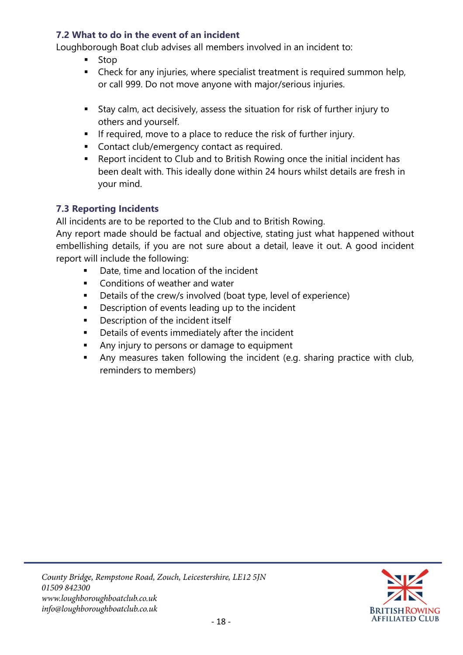#### <span id="page-17-0"></span>**7.2 What to do in the event of an incident**

Loughborough Boat club advises all members involved in an incident to:

- **Stop**
- Check for any injuries, where specialist treatment is required summon help, or call 999. Do not move anyone with major/serious injuries.
- Stay calm, act decisively, assess the situation for risk of further injury to others and yourself.
- **EXTED** If required, move to a place to reduce the risk of further injury.
- Contact club/emergency contact as required.
- Report incident to Club and to British Rowing once the initial incident has been dealt with. This ideally done within 24 hours whilst details are fresh in your mind.

#### <span id="page-17-1"></span>**7.3 Reporting Incidents**

All incidents are to be reported to the Club and to British Rowing.

Any report made should be factual and objective, stating just what happened without embellishing details, if you are not sure about a detail, leave it out. A good incident report will include the following:

- Date, time and location of the incident
- Conditions of weather and water
- Details of the crew/s involved (boat type, level of experience)
- Description of events leading up to the incident
- Description of the incident itself
- Details of events immediately after the incident
- Any injury to persons or damage to equipment
- Any measures taken following the incident (e.g. sharing practice with club, reminders to members)

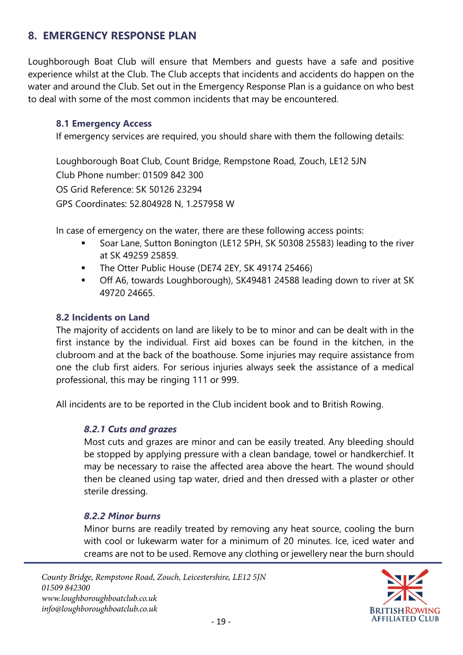### <span id="page-18-0"></span>**8. EMERGENCY RESPONSE PLAN**

Loughborough Boat Club will ensure that Members and guests have a safe and positive experience whilst at the Club. The Club accepts that incidents and accidents do happen on the water and around the Club. Set out in the Emergency Response Plan is a guidance on who best to deal with some of the most common incidents that may be encountered.

#### <span id="page-18-1"></span>**8.1 Emergency Access**

If emergency services are required, you should share with them the following details:

Loughborough Boat Club, Count Bridge, Rempstone Road, Zouch, LE12 5JN Club Phone number: 01509 842 300 OS Grid Reference: SK 50126 23294 GPS Coordinates: 52.804928 N, 1.257958 W

In case of emergency on the water, there are these following access points:

- Soar Lane, Sutton Bonington (LE12 5PH, SK 50308 25583) leading to the river at SK 49259 25859.
- The Otter Public House (DE74 2EY, SK 49174 25466)
- Off A6, towards Loughborough), SK49481 24588 leading down to river at SK 49720 24665.

#### <span id="page-18-2"></span>**8.2 Incidents on Land**

The majority of accidents on land are likely to be to minor and can be dealt with in the first instance by the individual. First aid boxes can be found in the kitchen, in the clubroom and at the back of the boathouse. Some injuries may require assistance from one the club first aiders. For serious injuries always seek the assistance of a medical professional, this may be ringing 111 or 999.

<span id="page-18-3"></span>All incidents are to be reported in the Club incident book and to British Rowing.

#### *8.2.1 Cuts and grazes*

Most cuts and grazes are minor and can be easily treated. Any bleeding should be stopped by applying pressure with a clean bandage, towel or handkerchief. It may be necessary to raise the affected area above the heart. The wound should then be cleaned using tap water, dried and then dressed with a plaster or other sterile dressing.

#### <span id="page-18-4"></span>*8.2.2 Minor burns*

Minor burns are readily treated by removing any heat source, cooling the burn with cool or lukewarm water for a minimum of 20 minutes. Ice, iced water and creams are not to be used. Remove any clothing or jewellery near the burn should

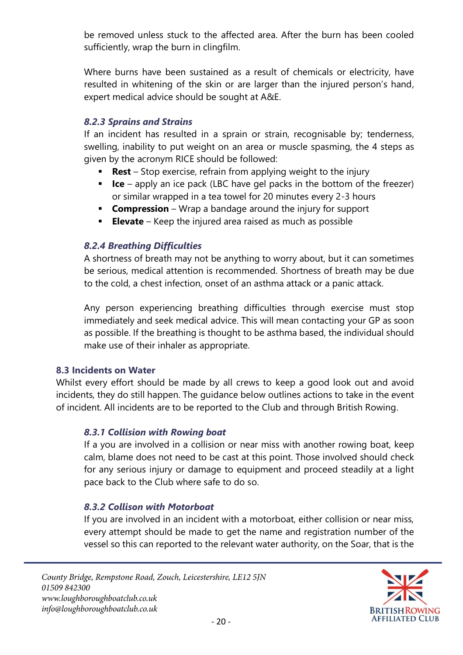be removed unless stuck to the affected area. After the burn has been cooled sufficiently, wrap the burn in clingfilm.

Where burns have been sustained as a result of chemicals or electricity, have resulted in whitening of the skin or are larger than the injured person's hand, expert medical advice should be sought at A&E.

#### <span id="page-19-0"></span>*8.2.3 Sprains and Strains*

If an incident has resulted in a sprain or strain, recognisable by; tenderness, swelling, inability to put weight on an area or muscle spasming, the 4 steps as given by the acronym RICE should be followed:

- **Rest** Stop exercise, refrain from applying weight to the injury
- **Ice** apply an ice pack (LBC have gel packs in the bottom of the freezer) or similar wrapped in a tea towel for 20 minutes every 2-3 hours
- **Compression** Wrap a bandage around the injury for support
- **Elevate** Keep the injured area raised as much as possible

#### <span id="page-19-1"></span>*8.2.4 Breathing Difficulties*

A shortness of breath may not be anything to worry about, but it can sometimes be serious, medical attention is recommended. Shortness of breath may be due to the cold, a chest infection, onset of an asthma attack or a panic attack.

Any person experiencing breathing difficulties through exercise must stop immediately and seek medical advice. This will mean contacting your GP as soon as possible. If the breathing is thought to be asthma based, the individual should make use of their inhaler as appropriate.

#### <span id="page-19-2"></span>**8.3 Incidents on Water**

<span id="page-19-3"></span>Whilst every effort should be made by all crews to keep a good look out and avoid incidents, they do still happen. The guidance below outlines actions to take in the event of incident. All incidents are to be reported to the Club and through British Rowing.

#### *8.3.1 Collision with Rowing boat*

If a you are involved in a collision or near miss with another rowing boat, keep calm, blame does not need to be cast at this point. Those involved should check for any serious injury or damage to equipment and proceed steadily at a light pace back to the Club where safe to do so.

#### <span id="page-19-4"></span>*8.3.2 Collison with Motorboat*

If you are involved in an incident with a motorboat, either collision or near miss, every attempt should be made to get the name and registration number of the vessel so this can reported to the relevant water authority, on the Soar, that is the

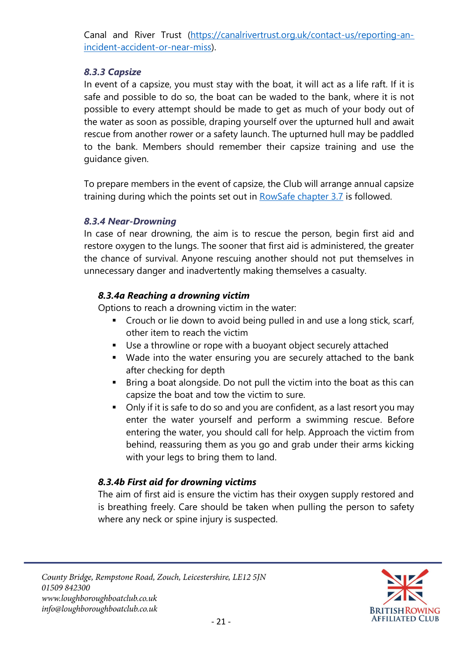Canal and River Trust [\(https://canalrivertrust.org.uk/contact-us/reporting-an](https://canalrivertrust.org.uk/contact-us/reporting-an-incident-accident-or-near-miss)[incident-accident-or-near-miss\)](https://canalrivertrust.org.uk/contact-us/reporting-an-incident-accident-or-near-miss).

#### <span id="page-20-0"></span>*8.3.3 Capsize*

In event of a capsize, you must stay with the boat, it will act as a life raft. If it is safe and possible to do so, the boat can be waded to the bank, where it is not possible to every attempt should be made to get as much of your body out of the water as soon as possible, draping yourself over the upturned hull and await rescue from another rower or a safety launch. The upturned hull may be paddled to the bank. Members should remember their capsize training and use the guidance given.

To prepare members in the event of capsize, the Club will arrange annual capsize training during which the points set out in [RowSafe chapter 3.7](https://www.britishrowing.org/wp-content/uploads/2019/04/Row-Safe-April-2019-Chp-3.pdf) is followed.

#### <span id="page-20-1"></span>*8.3.4 Near-Drowning*

In case of near drowning, the aim is to rescue the person, begin first aid and restore oxygen to the lungs. The sooner that first aid is administered, the greater the chance of survival. Anyone rescuing another should not put themselves in unnecessary danger and inadvertently making themselves a casualty.

#### *8.3.4a Reaching a drowning victim*

Options to reach a drowning victim in the water:

- Crouch or lie down to avoid being pulled in and use a long stick, scarf, other item to reach the victim
- Use a throwline or rope with a buoyant object securely attached
- Wade into the water ensuring you are securely attached to the bank after checking for depth
- Bring a boat alongside. Do not pull the victim into the boat as this can capsize the boat and tow the victim to sure.
- Only if it is safe to do so and you are confident, as a last resort you may enter the water yourself and perform a swimming rescue. Before entering the water, you should call for help. Approach the victim from behind, reassuring them as you go and grab under their arms kicking with your legs to bring them to land.

#### *8.3.4b First aid for drowning victims*

The aim of first aid is ensure the victim has their oxygen supply restored and is breathing freely. Care should be taken when pulling the person to safety where any neck or spine injury is suspected.

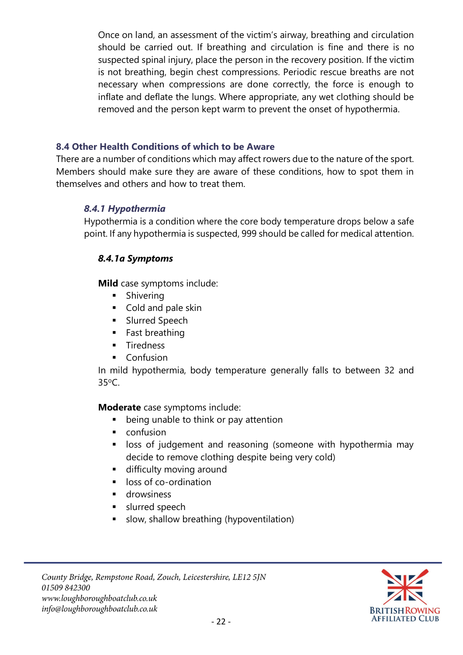Once on land, an assessment of the victim's airway, breathing and circulation should be carried out. If breathing and circulation is fine and there is no suspected spinal injury, place the person in the recovery position. If the victim is not breathing, begin chest compressions. Periodic rescue breaths are not necessary when compressions are done correctly, the force is enough to inflate and deflate the lungs. Where appropriate, any wet clothing should be removed and the person kept warm to prevent the onset of hypothermia.

#### <span id="page-21-0"></span>**8.4 Other Health Conditions of which to be Aware**

<span id="page-21-1"></span>There are a number of conditions which may affect rowers due to the nature of the sport. Members should make sure they are aware of these conditions, how to spot them in themselves and others and how to treat them.

#### *8.4.1 Hypothermia*

Hypothermia is a condition where the core body temperature drops below a safe point. If any hypothermia is suspected, 999 should be called for medical attention.

#### *8.4.1a Symptoms*

**Mild** case symptoms include:

- Shivering
- Cold and pale skin
- **■** Slurred Speech
- Fast breathing
- **■** Tiredness
- Confusion

In mild hypothermia, body temperature generally falls to between 32 and  $35^{\circ}C$ 

#### **Moderate** case symptoms include:

- being unable to think or pay attention
- confusion
- **EXTERGHT IDES** of judgement and reasoning (someone with hypothermia may decide to remove clothing despite being very cold)
- **■** difficulty moving around
- loss of co-ordination
- drowsiness
- **■** slurred speech
- slow, shallow breathing (hypoventilation)

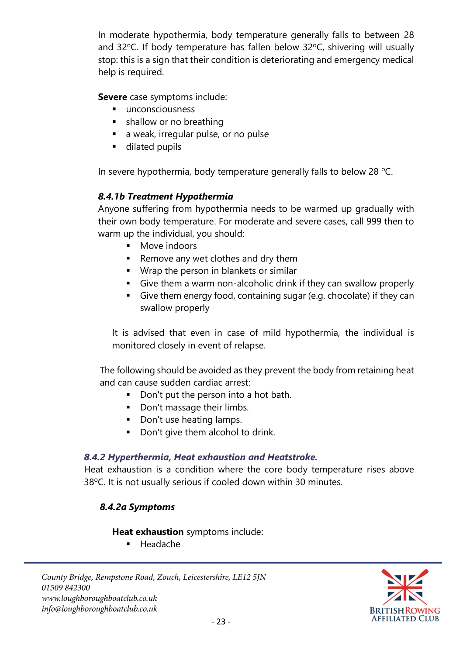In moderate hypothermia, body temperature generally falls to between 28 and 32°C. If body temperature has fallen below 32°C, shivering will usually stop: this is a sign that their condition is deteriorating and emergency medical help is required.

**Severe** case symptoms include:

- unconsciousness
- shallow or no breathing
- a weak, irregular pulse, or no pulse
- dilated pupils

In severe hypothermia, body temperature generally falls to below 28  $^{\circ}$ C.

#### *8.4.1b Treatment Hypothermia*

Anyone suffering from hypothermia needs to be warmed up gradually with their own body temperature. For moderate and severe cases, call 999 then to warm up the individual, you should:

- Move indoors
- Remove any wet clothes and dry them
- Wrap the person in blankets or similar
- Give them a warm non-alcoholic drink if they can swallow properly
- Give them energy food, containing sugar (e.g. chocolate) if they can swallow properly

It is advised that even in case of mild hypothermia, the individual is monitored closely in event of relapse.

The following should be avoided as they prevent the body from retaining heat and can cause sudden cardiac arrest:

- Don't put the person into a hot bath.
- Don't massage their limbs.
- Don't use heating lamps.
- Don't give them alcohol to drink.

#### <span id="page-22-0"></span>*8.4.2 Hyperthermia, Heat exhaustion and Heatstroke.*

Heat exhaustion is a condition where the core body temperature rises above 38°C. It is not usually serious if cooled down within 30 minutes.

#### *8.4.2a Symptoms*

#### **Heat exhaustion** symptoms include:

**Headache** 

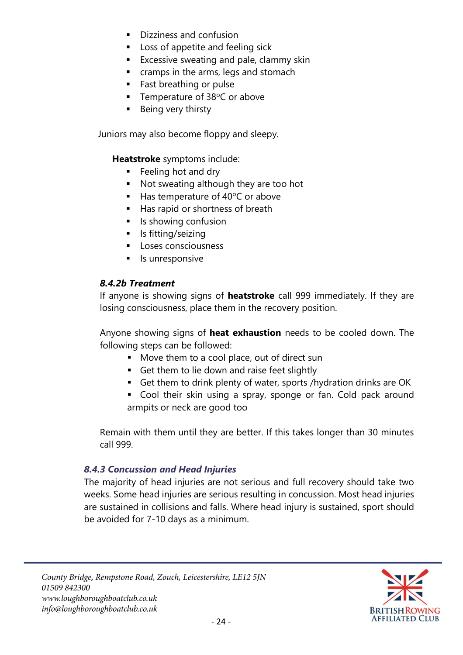- Dizziness and confusion
- Loss of appetite and feeling sick
- Excessive sweating and pale, clammy skin
- cramps in the arms, legs and stomach
- Fast breathing or pulse
- **•** Temperature of  $38^{\circ}$ C or above
- Being very thirsty

Juniors may also become floppy and sleepy.

**Heatstroke** symptoms include:

- Feeling hot and dry
- Not sweating although they are too hot
- $\blacksquare$  Has temperature of 40 $\degree$ C or above
- Has rapid or shortness of breath
- Is showing confusion
- Is fitting/seizing
- Loses consciousness
- Is unresponsive

#### *8.4.2b Treatment*

If anyone is showing signs of **heatstroke** call 999 immediately. If they are losing consciousness, place them in the recovery position.

Anyone showing signs of **heat exhaustion** needs to be cooled down. The following steps can be followed:

- Move them to a cool place, out of direct sun
- Get them to lie down and raise feet slightly
- Get them to drink plenty of water, sports /hydration drinks are OK
- Cool their skin using a spray, sponge or fan. Cold pack around armpits or neck are good too

Remain with them until they are better. If this takes longer than 30 minutes call 999.

#### <span id="page-23-0"></span>*8.4.3 Concussion and Head Injuries*

The majority of head injuries are not serious and full recovery should take two weeks. Some head injuries are serious resulting in concussion. Most head injuries are sustained in collisions and falls. Where head injury is sustained, sport should be avoided for 7-10 days as a minimum.

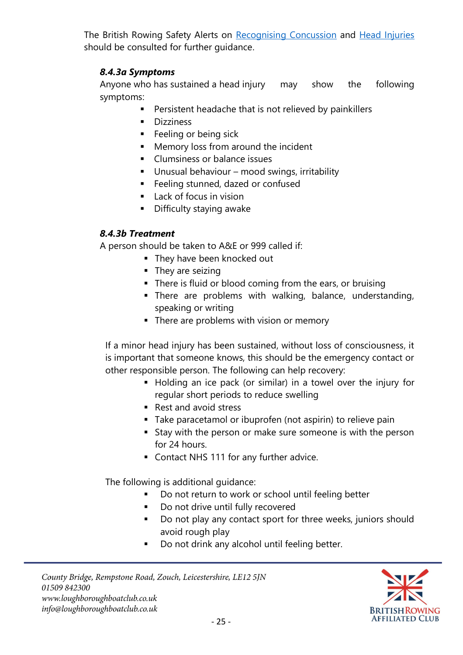The British Rowing Safety Alerts on [Recognising Concussion](https://www.britishrowing.org/wp-content/uploads/2018/10/Safety-Alert-Concussion.pdf) and [Head Injuries](https://www.britishrowing.org/wp-content/uploads/2018/10/Safety-Alert-Head-Injuries-2018.pdf) should be consulted for further guidance.

#### *8.4.3a Symptoms*

Anyone who has sustained a head injury may show the following symptoms:

- Persistent headache that is not relieved by painkillers
- Dizziness
- Feeling or being sick
- Memory loss from around the incident
- Clumsiness or balance issues
- Unusual behaviour mood swings, irritability
- Feeling stunned, dazed or confused
- Lack of focus in vision
- **■** Difficulty staying awake

#### *8.4.3b Treatment*

A person should be taken to A&E or 999 called if:

- **They have been knocked out**
- They are seizing
- There is fluid or blood coming from the ears, or bruising
- **EXTERGERY THERE Are EXTERGHT PROPERTY THERE** There are problems with walking, speaking or writing
- **•** There are problems with vision or memory

If a minor head injury has been sustained, without loss of consciousness, it is important that someone knows, this should be the emergency contact or other responsible person. The following can help recovery:

- Holding an ice pack (or similar) in a towel over the injury for regular short periods to reduce swelling
- Rest and avoid stress
- Take paracetamol or ibuprofen (not aspirin) to relieve pain
- Stay with the person or make sure someone is with the person for 24 hours.
- Contact NHS 111 for any further advice.

The following is additional guidance:

- Do not return to work or school until feeling better
- Do not drive until fully recovered
- Do not play any contact sport for three weeks, juniors should avoid rough play
- Do not drink any alcohol until feeling better.